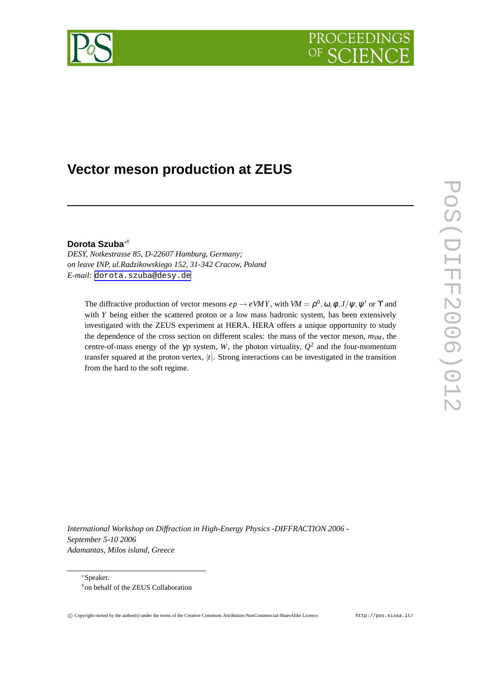



# **Vector meson production at ZEUS**

### **Dorota Szuba**∗†

*DESY, Notkestrasse 85, D-22607 Hamburg, Germany; on leave INP, ul.Radzikowskiego 152, 31-342 Cracow, Poland E-mail:* [dorota.szuba@desy.de](mailto:dorota.szuba@desy.de)

The diffractive production of vector mesons  $ep \rightarrow eVMY$ , with  $VM = \rho^0, \omega, \phi, J/\psi, \psi'$  or  $\Upsilon$  and with *Y* being either the scattered proton or a low mass hadronic system, has been extensively investigated with the ZEUS experiment at HERA. HERA offers a unique opportunity to study the dependence of the cross section on different scales: the mass of the vector meson,  $m_{VM}$ , the centre-of-mass energy of the  $\gamma p$  system, *W*, the photon virtuality,  $Q^2$  and the four-momentum transfer squared at the proton vertex, |*t*|. Strong interactions can be investigated in the transition from the hard to the soft regime.

*International Workshop on Diffraction in High-Energy Physics -DIFFRACTION 2006 - September 5-10 2006 Adamantas, Milos island, Greece*

<sup>∗</sup>Speaker.

<sup>†</sup>on behalf of the ZEUS Collaboration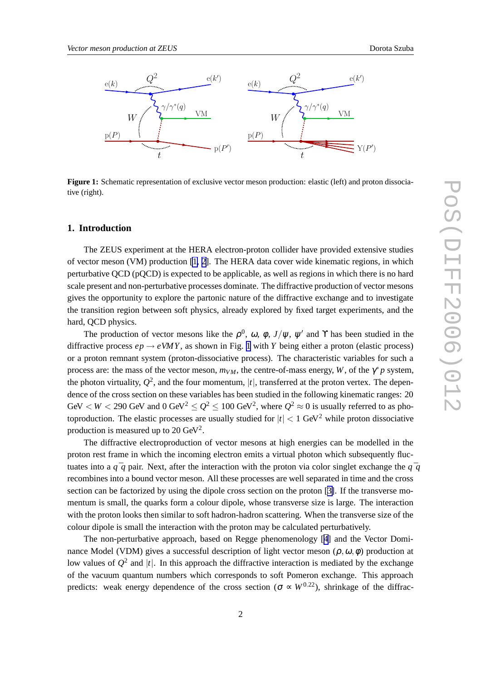

**Figure 1:** Schematic representation of exclusive vector meson production: elastic (left) and proton dissociative (right).

### **1. Introduction**

The ZEUS experiment at the HERA electron-proton collider have provided extensive studies of vector meson (VM) production [\[1,](#page-4-0) [2\]](#page-6-0). The HERA data cover wide kinematic regions, in which perturbative QCD (pQCD) is expected to be applicable, as well as regions in which there is no hard scale present and non-perturbative processes dominate. The diffractive production of vector mesons gives the opportunity to explore the partonic nature of the diffractive exchange and to investigate the transition region between soft physics, already explored by fixed target experiments, and the hard, QCD physics.

The production of vector mesons like the  $\rho^0$ ,  $\omega$ ,  $\phi$ ,  $J/\psi$ ,  $\psi'$  and Y has been studied in the diffractive process  $ep \rightarrow eVMY$ , as shown in Fig. 1 with *Y* being either a proton (elastic process) or a proton remnant system (proton-dissociative process). The characteristic variables for such a process are: the mass of the vector meson,  $m_{VM}$ , the centre-of-mass energy, *W*, of the  $\gamma^* p$  system, the photon virtuality,  $Q^2$ , and the four momentum,  $|t|$ , transferred at the proton vertex. The dependence of the cross section on these variables has been studied in the following kinematic ranges: 20 GeV  $<$  *W*  $<$  290 GeV and 0 GeV<sup>2</sup>  $\leq Q^2 \leq$  100 GeV<sup>2</sup>, where  $Q^2 \approx 0$  is usually referred to as photoproduction. The elastic processes are usually studied for  $|t| < 1$  GeV<sup>2</sup> while proton dissociative production is measured up to 20  $\text{GeV}^2$ .

The diffractive electroproduction of vector mesons at high energies can be modelled in the proton rest frame in which the incoming electron emits a virtual photon which subsequently fluctuates into a  $q \bar{q}$  pair. Next, after the interaction with the proton via color singlet exchange the  $q \bar{q}$ recombines into a bound vector meson. All these processes are well separated in time and the cross section can be factorized by using the dipole cross section on the proton [[3\]](#page-6-0). If the transverse momentum is small, the quarks form a colour dipole, whose transverse size is large. The interaction with the proton looks then similar to soft hadron-hadron scattering. When the transverse size of the colour dipole is small the interaction with the proton may be calculated perturbatively.

The non-perturbative approach, based on Regge phenomenology [[4\]](#page-6-0) and the Vector Dominance Model (VDM) gives a successful description of light vector meson ( $\rho, \omega, \phi$ ) production at low values of  $Q^2$  and |*t*|. In this approach the diffractive interaction is mediated by the exchange of the vacuum quantum numbers which corresponds to soft Pomeron exchange. This approach predicts: weak energy dependence of the cross section ( $\sigma \propto W^{0.22}$ ), shrinkage of the diffrac-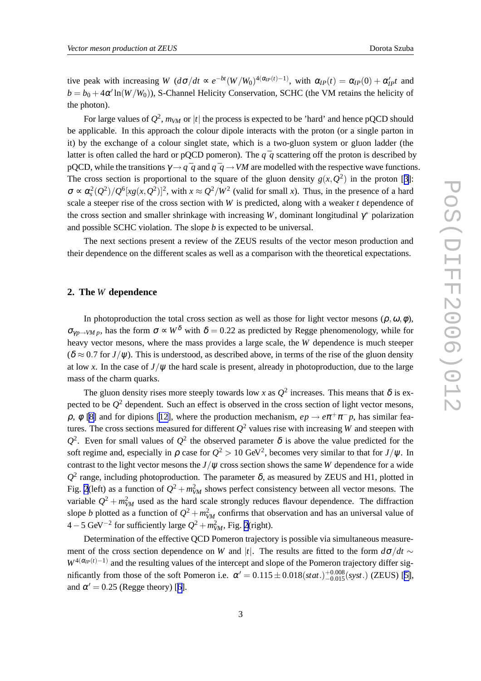tive peak with increasing  $W(d\sigma/dt \propto e^{-bt}(W/W_0)^{4(\alpha_P(t)-1)}$ , with  $\alpha_{IP}(t) = \alpha_{IP}(0) + \alpha_{IP}'t$  and  $b = b_0 + 4\alpha' \ln(W/W_0)$ ), S-Channel Helicity Conservation, SCHC (the VM retains the helicity of the photon).

For large values of  $Q^2$ ,  $m_{VM}$  or  $|t|$  the process is expected to be 'hard' and hence pQCD should be applicable. In this approach the colour dipole interacts with the proton (or a single parton in it) by the exchange of a colour singlet state, which is a two-gluon system or gluon ladder (the latter is often called the hard or pQCD pomeron). The  $q \bar{q}$  scattering off the proton is described by pQCD, while the transitions  $\gamma \rightarrow q \bar{q}$  and  $q \bar{q} \rightarrow VM$  are modelled with the respective wave functions. The cross section is proportional to the square of the gluon density  $g(x, Q^2)$  in the proton [[3](#page-6-0)]:  $\sigma \propto \alpha_s^2(Q^2)/Q^6[xg(x,Q^2)]^2$ , with  $x \approx Q^2/W^2$  (valid for small *x*). Thus, in the presence of a hard scale a steeper rise of the cross section with *W* is predicted, along with a weaker *t* dependence of the cross section and smaller shrinkage with increasing *W*, dominant longitudinal  $\gamma^*$  polarization and possible SCHC violation. The slope *b* is expected to be universal.

The next sections present a review of the ZEUS results of the vector meson production and their dependence on the different scales as well as a comparison with the theoretical expectations.

### **2. The** *W* **dependence**

In photoproduction the total cross section as well as those for light vector mesons  $(\rho, \omega, \phi)$ ,  $\sigma_{\gamma p \to VM p}$ , has the form  $\sigma \propto W^{\delta}$  with  $\delta = 0.22$  as predicted by Regge phenomenology, while for heavy vector mesons, where the mass provides a large scale, the *W* dependence is much steeper  $(\delta \approx 0.7$  for  $J/\psi$ ). This is understood, as described above, in terms of the rise of the gluon density at low *x*. In the case of  $J/\psi$  the hard scale is present, already in photoproduction, due to the large mass of the charm quarks.

The gluon density rises more steeply towards low *x* as  $Q^2$  increases. This means that  $\delta$  is expected to be *Q* <sup>2</sup> dependent. Such an effect is observed in the cross section of light vector mesons,  $\rho$ ,  $\phi$  [\[8\]](#page-6-0) and for dipions [\[12\]](#page-6-0), where the production mechanism,  $ep \rightarrow e\pi^+\pi^-p$ , has similar features. The cross sections measured for different *Q* <sup>2</sup> values rise with increasing *W* and steepen with  $Q<sup>2</sup>$ . Even for small values of  $Q<sup>2</sup>$  the observed parameter δ is above the value predicted for the soft regime and, especially in  $\rho$  case for  $Q^2 > 10$  GeV<sup>2</sup>, becomes very similar to that for  $J/\psi$ . In contrast to the light vector mesons the  $J/\psi$  cross section shows the same *W* dependence for a wide  $Q^2$  range, including photoproduction. The parameter  $\delta$ , as measured by ZEUS and H1, plotted in Fig. [2](#page-3-0)(left) as a function of  $Q^2 + m_{VM}^2$  shows perfect consistency between all vector mesons. The variable  $Q^2 + m_{VM}^2$  used as the hard scale strongly reduces flavour dependence. The diffraction slope *b* plotted as a function of  $Q^2 + m_{VM}^2$  confirms that observation and has an universal value of  $4-5 \text{ GeV}^{-2}$  $4-5 \text{ GeV}^{-2}$  $4-5 \text{ GeV}^{-2}$  for sufficiently large  $Q^2 + m_{VM}^2$ , Fig. 2(right).

Determination of the effective QCD Pomeron trajectory is possible via simultaneous measurement of the cross section dependence on *W* and |*t*|. The results are fitted to the form  $d\sigma/dt \sim$  $W^{4(\alpha_{IP}(t)-1)}$  and the resulting values of the intercept and slope of the Pomeron trajectory differ significantly from those of the soft Pomeron i.e.  $\alpha' = 0.115 \pm 0.018(stat.)^{+0.008}_{-0.015}(syst.)$  (ZEUS) [\[5\]](#page-6-0), and  $\alpha' = 0.25$  (Regge theory) [[6\]](#page-6-0).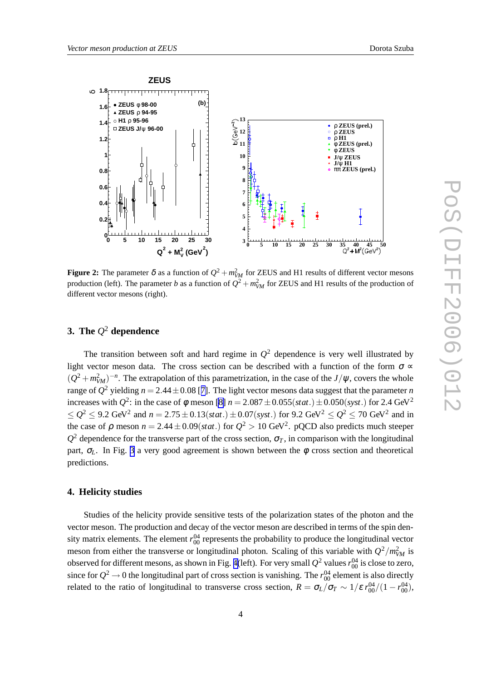<span id="page-3-0"></span>

**Figure 2:** The parameter  $\delta$  as a function of  $Q^2 + m_{VM}^2$  for ZEUS and H1 results of different vector mesons production (left). The parameter *b* as a function of  $Q^2 + m_{VM}^2$  for ZEUS and H1 results of the production of different vector mesons (right).

# **3. The** *Q* <sup>2</sup> **dependence**

The transition between soft and hard regime in  $Q^2$  dependence is very well illustrated by light vector meson data. The cross section can be described with a function of the form  $\sigma \propto$  $(Q^2 + m_{VM}^2)^{-n}$ . The extrapolation of this parametrization, in the case of the *J*/ $\psi$ , covers the whole range of  $Q^2$  yielding  $n = 2.44 \pm 0.08$  [[7\]](#page-6-0). The light vector mesons data suggest that the parameter *n* increases with  $Q^2$ : in the case of  $\phi$  meson [\[8\]](#page-6-0)  $n = 2.087 \pm 0.055(stat.) \pm 0.050(syst.)$  for 2.4 GeV<sup>2</sup> ≤  $Q^2$  ≤ 9.2 GeV<sup>2</sup> and  $n = 2.75 \pm 0.13(stat.) \pm 0.07(syst.)$  for 9.2 GeV<sup>2</sup> ≤  $Q^2$  ≤ 70 GeV<sup>2</sup> and in the case of  $\rho$  meson  $n = 2.44 \pm 0.09(stat.)$  for  $Q^2 > 10 \text{ GeV}^2$ . pQCD also predicts much steeper  $Q^2$  dependence for the transverse part of the cross section,  $\sigma_T$ , in comparison with the longitudinal part,  $\sigma$ <sub>L</sub>. In Fig. [3](#page-4-0) a very good agreement is shown between the  $\phi$  cross section and theoretical predictions.

# **4. Helicity studies**

Studies of the helicity provide sensitive tests of the polarization states of the photon and the vector meson. The production and decay of the vector meson are described in terms of the spin density matrix elements. The element  $r_{00}^{04}$  represents the probability to produce the longitudinal vector meson from either the transverse or longitudinal photon. Scaling of this variable with  $Q^2/m_{VM}^2$  is observed for different mesons, as shown in Fig. [4\(](#page-5-0)left). For very small  $Q^2$  values  $r_{00}^{04}$  is close to zero, since for  $Q^2 \to 0$  the longitudinal part of cross section is vanishing. The  $r_{00}^{04}$  element is also directly related to the ratio of longitudinal to transverse cross section,  $R = \sigma_L/\sigma_T \sim 1/\varepsilon r_{00}^{04}/(1-r_{00}^{04})$ ,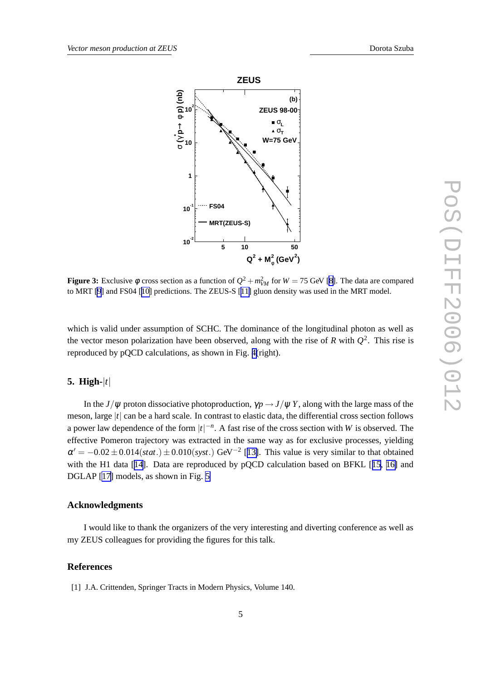<span id="page-4-0"></span>

**Figure 3:** Exclusive  $\phi$  cross section as a function of  $Q^2 + m_{VM}^2$  for  $W = 75$  GeV [\[8\]](#page-6-0). The data are compared to MRT [\[9](#page-6-0)] and FS04 [[10\]](#page-6-0) predictions. The ZEUS-S [[11\]](#page-6-0) gluon density was used in the MRT model.

which is valid under assumption of SCHC. The dominance of the longitudinal photon as well as the vector meson polarization have been observed, along with the rise of  $R$  with  $Q^2$ . This rise is reproduced by pQCD calculations, as shown in Fig. [4\(](#page-5-0)right).

# **5. High-**|*t*|

In the *J*/ $\psi$  proton dissociative photoproduction,  $\gamma p \rightarrow J/\psi Y$ , along with the large mass of the meson, large |*t*| can be a hard scale. In contrast to elastic data, the differential cross section follows a power law dependence of the form  $|t|^{-n}$ . A fast rise of the cross section with *W* is observed. The effective Pomeron trajectory was extracted in the same way as for exclusive processes, yielding  $\alpha' = -0.02 \pm 0.014(stat.) \pm 0.010(syst.)$  GeV<sup>-2</sup> [[13\]](#page-6-0). This value is very similar to that obtained with the H1 data [[14\]](#page-6-0). Data are reproduced by pQCD calculation based on BFKL [[15,](#page-6-0) [16\]](#page-6-0) and DGLAP [\[17\]](#page-6-0) models, as shown in Fig. [5](#page-5-0)

#### **Acknowledgments**

I would like to thank the organizers of the very interesting and diverting conference as well as my ZEUS colleagues for providing the figures for this talk.

# **References**

[1] J.A. Crittenden, Springer Tracts in Modern Physics, Volume 140.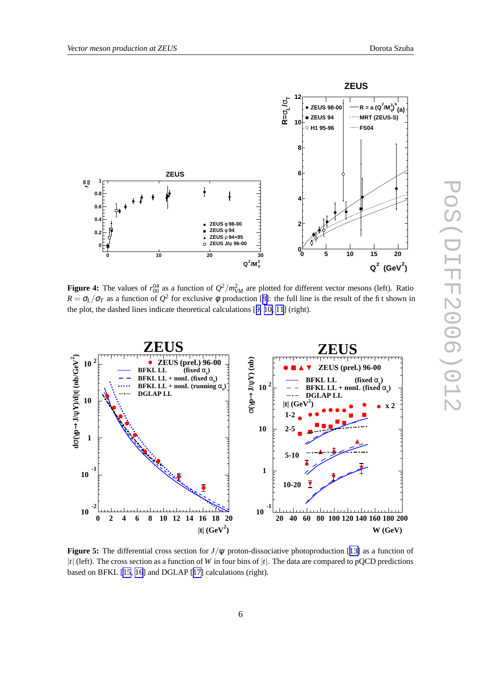<span id="page-5-0"></span>

**Figure 4:** The values of  $r_{00}^{04}$  as a function of  $Q^2/m_W^2$  are plotted for different vector mesons (left). Ratio  $R = \sigma_L/\sigma_T$  as a function of  $Q^2$  for exclusive  $\phi$  production [[8\]](#page-6-0): the full line is the result of the fit shown in the plot, the dashed lines indicate theoretical calculations [[9,](#page-6-0) [10,](#page-6-0) [11](#page-6-0)] (right).



**Figure 5:** The differential cross section for *J*/ψ proton-dissociative photoproduction [[13\]](#page-6-0) as a function of |*t*| (left). The cross section as a function of *W* in four bins of |*t*|. The data are compared to pQCD predictions based on BFKL [\[15](#page-6-0), [16](#page-6-0)] and DGLAP [[17\]](#page-6-0) calculations (right).